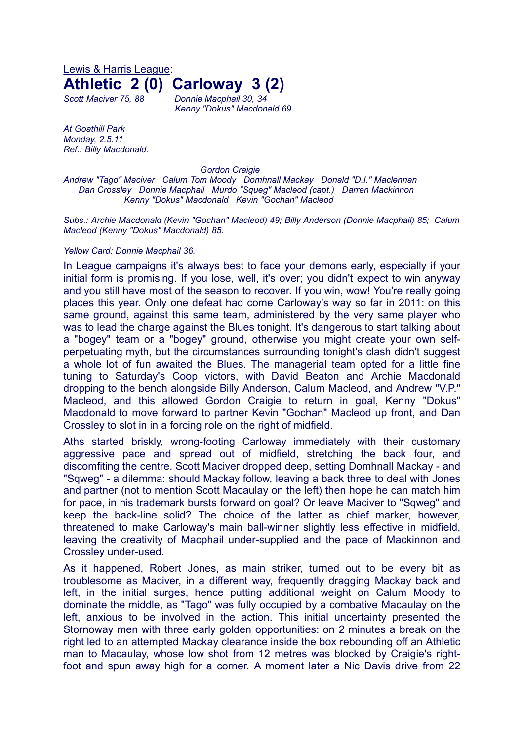Lewis & Harris League: **Athletic 2 (0) Carloway 3 (2)**

*Scott Maciver 75, 88 Donnie Macphail 30, 34 Kenny "Dokus" Macdonald 69*

*At Goathill Park Monday, 2.5.11 Ref.: Billy Macdonald.*

*Gordon Craigie Andrew "Tago" Maciver Calum Tom Moody Domhnall Mackay Donald "D.I." Maclennan Dan Crossley Donnie Macphail Murdo "Squeg" Macleod (capt.) Darren Mackinnon Kenny "Dokus" Macdonald Kevin "Gochan" Macleod*

*Subs.: Archie Macdonald (Kevin "Gochan" Macleod) 49; Billy Anderson (Donnie Macphail) 85; Calum Macleod (Kenny "Dokus" Macdonald) 85.*

## *Yellow Card: Donnie Macphail 36.*

In League campaigns it's always best to face your demons early, especially if your initial form is promising. If you lose, well, it's over; you didn't expect to win anyway and you still have most of the season to recover. If you win, wow! You're really going places this year. Only one defeat had come Carloway's way so far in 2011: on this same ground, against this same team, administered by the very same player who was to lead the charge against the Blues tonight. It's dangerous to start talking about a "bogey" team or a "bogey" ground, otherwise you might create your own selfperpetuating myth, but the circumstances surrounding tonight's clash didn't suggest a whole lot of fun awaited the Blues. The managerial team opted for a little fine tuning to Saturday's Coop victors, with David Beaton and Archie Macdonald dropping to the bench alongside Billy Anderson, Calum Macleod, and Andrew "V.P." Macleod, and this allowed Gordon Craigie to return in goal, Kenny "Dokus" Macdonald to move forward to partner Kevin "Gochan" Macleod up front, and Dan Crossley to slot in in a forcing role on the right of midfield.

Aths started briskly, wrong-footing Carloway immediately with their customary aggressive pace and spread out of midfield, stretching the back four, and discomfiting the centre. Scott Maciver dropped deep, setting Domhnall Mackay - and "Sqweg" - a dilemma: should Mackay follow, leaving a back three to deal with Jones and partner (not to mention Scott Macaulay on the left) then hope he can match him for pace, in his trademark bursts forward on goal? Or leave Maciver to "Sqweg" and keep the back-line solid? The choice of the latter as chief marker, however, threatened to make Carloway's main ball-winner slightly less effective in midfield, leaving the creativity of Macphail under-supplied and the pace of Mackinnon and Crossley under-used.

As it happened, Robert Jones, as main striker, turned out to be every bit as troublesome as Maciver, in a different way, frequently dragging Mackay back and left, in the initial surges, hence putting additional weight on Calum Moody to dominate the middle, as "Tago" was fully occupied by a combative Macaulay on the left, anxious to be involved in the action. This initial uncertainty presented the Stornoway men with three early golden opportunities: on 2 minutes a break on the right led to an attempted Mackay clearance inside the box rebounding off an Athletic man to Macaulay, whose low shot from 12 metres was blocked by Craigie's rightfoot and spun away high for a corner. A moment later a Nic Davis drive from 22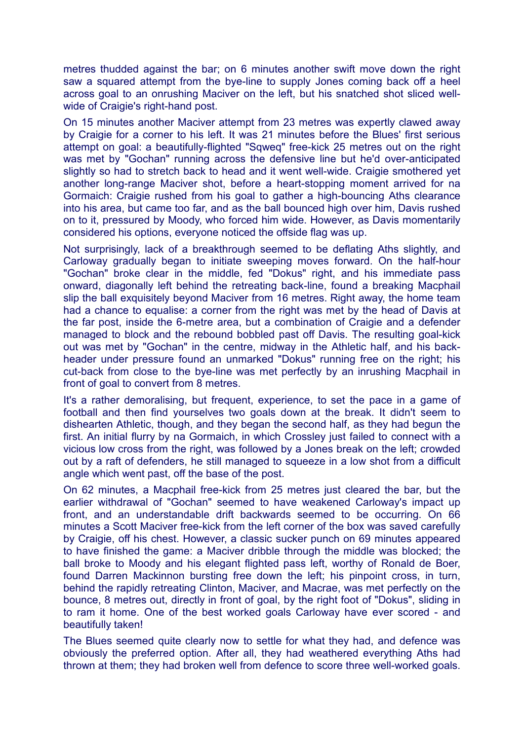metres thudded against the bar; on 6 minutes another swift move down the right saw a squared attempt from the bye-line to supply Jones coming back off a heel across goal to an onrushing Maciver on the left, but his snatched shot sliced wellwide of Craigie's right-hand post.

On 15 minutes another Maciver attempt from 23 metres was expertly clawed away by Craigie for a corner to his left. It was 21 minutes before the Blues' first serious attempt on goal: a beautifully-flighted "Sqweq" free-kick 25 metres out on the right was met by "Gochan" running across the defensive line but he'd over-anticipated slightly so had to stretch back to head and it went well-wide. Craigie smothered yet another long-range Maciver shot, before a heart-stopping moment arrived for na Gormaich: Craigie rushed from his goal to gather a high-bouncing Aths clearance into his area, but came too far, and as the ball bounced high over him, Davis rushed on to it, pressured by Moody, who forced him wide. However, as Davis momentarily considered his options, everyone noticed the offside flag was up.

Not surprisingly, lack of a breakthrough seemed to be deflating Aths slightly, and Carloway gradually began to initiate sweeping moves forward. On the half-hour "Gochan" broke clear in the middle, fed "Dokus" right, and his immediate pass onward, diagonally left behind the retreating back-line, found a breaking Macphail slip the ball exquisitely beyond Maciver from 16 metres. Right away, the home team had a chance to equalise: a corner from the right was met by the head of Davis at the far post, inside the 6-metre area, but a combination of Craigie and a defender managed to block and the rebound bobbled past off Davis. The resulting goal-kick out was met by "Gochan" in the centre, midway in the Athletic half, and his backheader under pressure found an unmarked "Dokus" running free on the right; his cut-back from close to the bye-line was met perfectly by an inrushing Macphail in front of goal to convert from 8 metres.

It's a rather demoralising, but frequent, experience, to set the pace in a game of football and then find yourselves two goals down at the break. It didn't seem to dishearten Athletic, though, and they began the second half, as they had begun the first. An initial flurry by na Gormaich, in which Crossley just failed to connect with a vicious low cross from the right, was followed by a Jones break on the left; crowded out by a raft of defenders, he still managed to squeeze in a low shot from a difficult angle which went past, off the base of the post.

On 62 minutes, a Macphail free-kick from 25 metres just cleared the bar, but the earlier withdrawal of "Gochan" seemed to have weakened Carloway's impact up front, and an understandable drift backwards seemed to be occurring. On 66 minutes a Scott Maciver free-kick from the left corner of the box was saved carefully by Craigie, off his chest. However, a classic sucker punch on 69 minutes appeared to have finished the game: a Maciver dribble through the middle was blocked; the ball broke to Moody and his elegant flighted pass left, worthy of Ronald de Boer, found Darren Mackinnon bursting free down the left; his pinpoint cross, in turn, behind the rapidly retreating Clinton, Maciver, and Macrae, was met perfectly on the bounce, 8 metres out, directly in front of goal, by the right foot of "Dokus", sliding in to ram it home. One of the best worked goals Carloway have ever scored - and beautifully taken!

The Blues seemed quite clearly now to settle for what they had, and defence was obviously the preferred option. After all, they had weathered everything Aths had thrown at them; they had broken well from defence to score three well-worked goals.